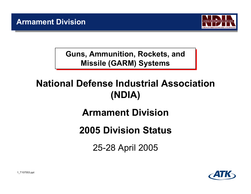

**Guns, Ammunition, Rockets, and Guns, Ammunition, Rockets, and Missile (GARM) Systems Missile (GARM) Systems**

# **National Defense Industrial Association (NDIA)**

# **Armament Division**

# **2005 Division Status**

25-28 April 2005

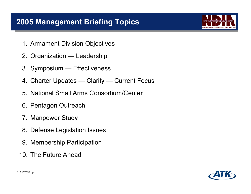# **2005 Management Briefing Topics**

- 1. Armament Division Objectives
- 2. Organization Leadership
- 3. Symposium Effectiveness
- 4. Charter Updates Clarity Current Focus
- 5. National Small Arms Consortium/Center
- 6. Pentagon Outreach
- 7. Manpower Study
- 8. Defense Legislation Issues
- 9. Membership Participation
- 10. The Future Ahead



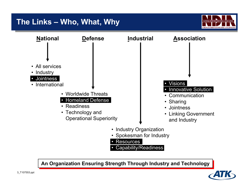# **The Links – Who, What, Why**





**An Organization Ensuring Strength Through Industry and Technology An Organization Ensuring Strength Through Industry and Technology**

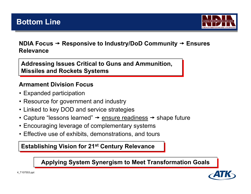

#### **NDIA Focus → Responsive to Industry/DoD Community → Ensures Relevance**

**Addressing Issues Critical to Guns and Ammunition, Addressing Issues Critical to Guns and Ammunition, Missiles and Rockets Systems Missiles and Rockets Systems**

#### **Armament Division Focus**

- Expanded participation
- Resource for government and industry
- Linked to key DOD and service strategies
- Capture "lessons learned"  $\Rightarrow$  <u>ensure readiness</u>  $\Rightarrow$  shape future
- Encouraging leverage of complementary systems
- Effective use of exhibits, demonstrations, and tours

#### **Establishing Vision for 21<sup>st</sup> Century Relevance**

**Applying System Synergism to Applying System Synergism to Meet Transformation Goals Meet Transformation Goals**

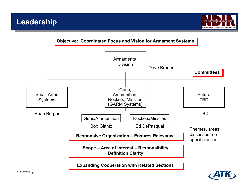

**Objective: Coordinated Focus and Vision for Armament Systems** 

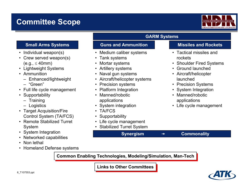# **Committee Scope**



- •Individual weapon(s)
- • Crew served weapon(s)  $(e.q., \leq 40mm)$
- Lightweight Systems
- Ammunition
	- Enhanced/lightweight
	- "Green"
- Full life cycle management
- •**Supportability** 
	- Training
	- Logistics
- Target Acquisition/Fire Control System (TA/FCS)
- Remote Stabilized Turret System
- •System Integration
- •Networked capabilities
- •Non lethal
- •Homeland Defense systems

### **GARM Systems**

**Synergism** → Commonality

#### **Small Arms Systems The Guns and Ammunition Constructs and Rockets**

- •Medium caliber systems
- •Tank systems
- •Mortar systems
- Artillery systems
- $\bullet$ Naval gun systems
- •Aircraft/helicopter systems
- •Precision systems
- $\bullet$ Platform Integration
- • Manned/robotic applications
- •System integration
- •TA/FCS
- •**Supportability**
- Life cycle management
- Stabilized Turret System

- Tactical missiles and rockets
- Shoulder Fired Systems
- Ground launched
- Aircraft/helicopter launched
- Precision Systems
- System Integration
- Manned/robotic applications
- Life cycle management

**Common Enabling Technologies, Modeling/Simulation, Man-Tech** 

**Links to Other Committees Links to Other Committees**

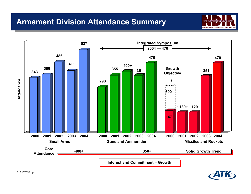# **Armament Division Attendance Summary**







7\_T107553.ppt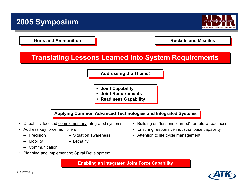# **2005 Symposium**



**Guns and Ammunition Guns and Ammunition**

**Rockets and Missiles Rockets and Missiles**

• Ensuring responsive industrial base capability

### **Translating Lessons Learned into System Requirements**

**Addressing the Theme! Addressing the Theme!**

- **• Joint Capability • Joint Capability**
- **• Joint Requirements • Joint Requirements**
- **• Readiness Capability • Readiness Capability**

**Applying Common Advanced Technologies and Integrated Systems Applying Common Advanced Technologies and Integrated Systems**

- •Capability focused complementary integrated systems • Building on "lessons learned" for future readiness
- Address key force multipliers
	- - Precision Situation awareness Attention to life cycle management
	-
- Mobility Lethality
	- **Communication**
- •Planning and implementing Spiral Development

**Enabling an Integrated Joint Force Capability** 

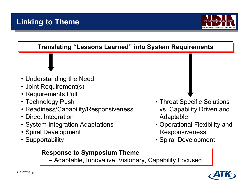

#### **Translating "Lessons Learned" into System Requirements Translating "Lessons Learned" into System Requirements**

- Understanding the Need
- Joint Requirement(s)
- Requirements Pull
- Technology Push
- Readiness/Capability/Responsiveness
- Direct Integration
- System Integration Adaptations
- Spiral Development
- Supportability
- Threat Specific Solutions vs. Capability Driven and Adaptable
- Operational Flexibility and Responsiveness
- Spiral Development

## **Response to Symposium Theme Response to Symposium Theme**

 Adaptable, Innovative, Visionary, Capability Focused –Adaptable, Innovative, Visionary, Capability Focused

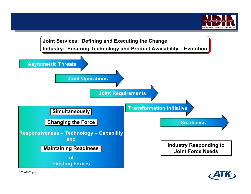

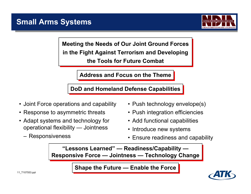

**Meeting the Needs of Our Joint Ground Forces Meeting the Needs of Our Joint Ground Forces in the Fight Against Terrorism and Developing in the Fight Against Terrorism and Developing the Tools for Future Combatthe Tools for Future Combat**

**Address and Focus on the Theme Address and Focus on the Theme**

**DoD and Homeland Defense Capabilities DoD and Homeland Defense Capabilities**

- Joint Force operations and capability
- Response to asymmetric threats
- Adapt systems and technology for operational flexibility — Jointness
	- Responsiveness
- Push technology envelope(s)
- Push integration efficiencies
- Add functional capabilities
- Introduce new systems
- Ensure readiness and capability

**"Lessons Learned" — Readiness/Capability — "Lessons Learned" — Readiness/Capability — Responsive Force — Jointness — Technology Change Responsive Force — Jointness — Technology Change**

**Shape the Future — Enable the Force** 

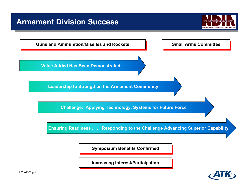# **Armament Division Success**





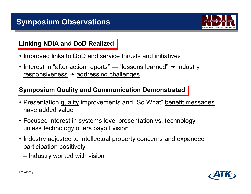

### **Linking NDIA and DoD Realized**

- Improved <u>links</u> to DoD and service <u>thrusts</u> and <u>initiatives</u>
- $\bullet$  Interest in "after action reports" "<u>lessons learned</u>"  $\rightarrow$  <u>industry</u> responsiveness  $\rightarrow$  addressing challenges

**Symposium Quality and Communication Demonstrated**

- Presentation <u>quality</u> improvements and "So What" <u>benefit messages</u> have added value
- Focused interest in systems level presentation vs. technology <u>unless</u> technology offers <u>payoff vision</u>
- <u>Industry adjusted</u> to intellectual property concerns and expanded participation positively
	- –Industry worked with vision

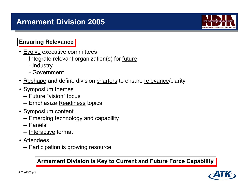# **Armament Division 2005**



#### **Ensuring Relevance**

- Evolve executive committees
	- Integrate relevant organization(s) for <u>future</u>
		- Industry
		- Government
- Reshape and define division charters to ensure relevance/clarity
- Symposium <u>themes</u>
	- Future "vision" focus
	- Emphasize <u>Readiness</u> topics
- Symposium content
	- <u>Emerging</u> technology and capability
	- Panels
	- Interactive format
- Attendees
	- Participation is growing resource

**Armament Division is Key to Current and Future Force Capability Armament Division is Key to Current and Future Force Capability**

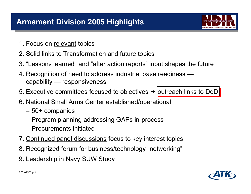

- 1. Focus on <u>relevant</u> topics
- 2. Solid <u>links</u> to <u>Transformation</u> and <u>future</u> topics
- 3. "Lessons learned" and "after action reports" input shapes the future
- 4. Recognition of need to address industrial base readiness capability — responsiveness
- 5. Executive committees focused to objectives  $\rightarrow$  outreach links to DoD
- 6. <u>National Small Arms Center</u> established/operational
	- –50+ companies
	- –Program planning addressing GAPs in-process
	- Procurements initiated
- 7. Continued panel discussions focus to key interest topics
- 8. Recognized forum for business/technology "networking"
- 9. Leadership in Navy SUW Study

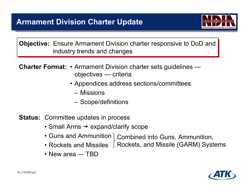

**Objective:** Ensure Armament Division charter responsive to DoD and industry trends and changes

**Charter Format:** • Armament Division charter sets guidelines objectives — criteria

- Appendices address sections/committees
	- Missions
	- –Scope/definitions
- **Status:** Committee updates in process
	- $\bullet$  Small Arms  $\rightarrow$  expand/clarify scope
	- Guns and Ammunition Combined into Guns, Ammunition,
	- Rockets and Missiles ]Rockets, and Missile (GARM) Systems
	- New area TBD

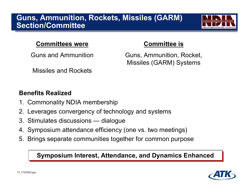# **Guns, Ammunition, Rockets, Missiles (GARM) Section/Committee**



#### **Committees were**

Guns and Ammunition

Missiles and Rockets

#### **Committee is**

Guns, Ammunition, Rocket, Missiles (GARM) Systems

# **Benefits Realized**

- 1. Commonality NDIA membership
- 2. Leverages convergency of technology and systems
- 3. Stimulates discussions dialogue
- 4. Symposium attendance efficiency (one vs. two meetings)
- 5. Brings separate communities together for common purpose

#### **Symposium Interest, Attendance, and Dynamics Enhanced**

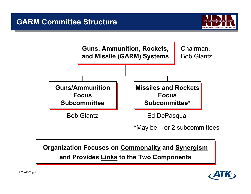



**Organization Focuses on Commonality and Synergism Organization Focuses on Commonality and Synergism and Provides Links to the Two Components and Provides Links to the Two Components**

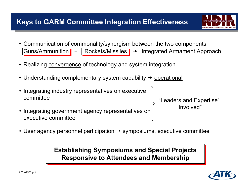

•Communication of commonality/synergism between the two components

<sup>t</sup> Integrated Armament Approach

- Realizing <u>convergence</u> of technology and system integration
- Understanding complementary system capability  $\rightarrow$  <u>operational</u>
- $\bullet$  Integrating industry representatives on executive committee

Guns/Ammunition  $\blacksquare$  +

 $\bullet$  Integrating government agency representatives on executive committee

"Leaders and Expertise" "Involved"

•User agency personnel participation  $\rightarrow$  symposiums, executive committee

> **Establishing Symposiums and Special Projects Establishing Symposiums and Special Projects Responsive to Attendees and Membership Responsive to Attendees and Membership**

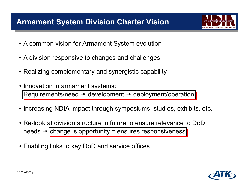# **Armament System Division Charter Vision**

- A common vision for Armament System evolution
- A division responsive to changes and challenges
- Realizing complementary and synergistic capability
- Innovation in armament systems: Requirements/need  $\rightarrow$  development  $\rightarrow$  deployment/operation
- Increasing NDIA impact through symposiums, studies, exhibits, etc.
- Re-look at division structure in future to ensure relevance to DoD needs  $\rightarrow$ |change is opportunity = ensures responsiveness
- Enabling links to key DoD and service offices

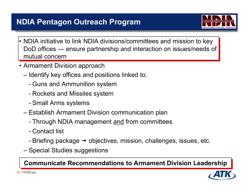# **NDIA Pentagon Outreach Program**

- 
- NDIA initiative to link NDIA divisions/committees and mission to key DoD offices — ensure partnership and interaction on issues/needs of mutual concern
- Armament Division approach
	- – Identify key offices and positions linked to:
		- -Guns and Ammunition system
		- -Rockets and Missiles system
		- -Small Arms systems
	- – Establish Armament Division communication plan
		- -Through NDIA management <u>and</u> from committees
		- Contact list
		- -Briefing package  $\rightarrow$  objectives, mission, challenges, issues, etc.
	- –Special Studies suggestions

**Communicate Recommendations to Armament Division Leadership** 

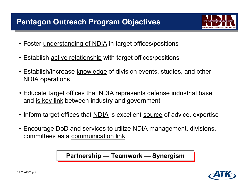# **Pentagon Outreach Program Objectives**

- Foster <u>understanding of NDIA</u> in target offices/positions
- Establish <u>active relationship</u> with target offices/positions
- Establish/increase <u>knowledge</u> of division events, studies, and other NDIA operations
- Educate target offices that NDIA represents defense industrial base and is key link between industry and government
- Inform target offices that <u>NDIA</u> is excellent <u>source</u> of advice, expertise
- Encourage DoD and services to utilize NDIA management, divisions, committees as a communication link

**Partnership — Teamwork — Synergism Partnership — Teamwork — Synergism**

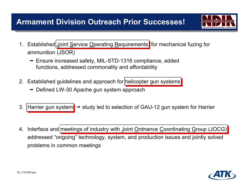

- 1. Established Joint Service Operating Requirements for mechanical fuzing for ammunition (JSOR)
	- $\rightarrow$  Ensure increased safety, MIL-STD-1316 compliance, added functions, addressed commonality and affordability
- 2. Established guidelines and approach for helicopter gun systems
	- $\rightarrow$  Defined LW-30 Apache gun system approach
- 3. Harrier gun system  $\rightarrow$  study led to selection of GAU-12 gun system for Harrier
- 4. Interface and meetings of industry with Joint Ordnance Coordinating Group (JOCG) addressed "ongoing" technology, system, and production issues and jointly solved problems in common meetings

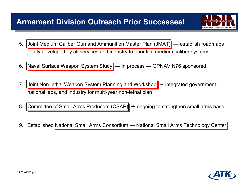# **Armament Division Outreach Prior Successes!**

- 5. Joint Medium Caliber Gun and Ammunition Master Plan (JMAT) establish roadmaps jointly developed by all services and industry to prioritize medium caliber systems
- 6. Naval Surface Weapon System Study in process OPNAV N76 sponsored
- 7. Joint Non-lethal Weapon System Planning and Workshop  $\rightarrow$  integrated government, national labs, and industry for multi-year non-lethal plan
- 8. Committee of Small Arms Producers (CSAP)  $\rightarrow$  ongoing to strengthen small arms base
- 9. Established National Small Arms Consortium National Small Arms Technology Center

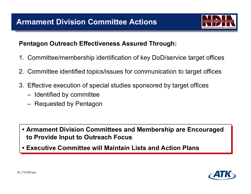

#### **Pentagon Outreach Effectiveness Assured Through:**

- 1. Committee/membership identification of key DoD/service target offices
- 2. Committee identified topics/issues for communication to target offices
- 3. Effective execution of special studies sponsored by target offices
	- –Identified by committee
	- –Requested by Pentagon

- **• Armament Division Committees and Membership are Encouraged • Armament Division Committees and Membership are Encouraged to Provide Input to Outreach Focus to Provide Input to Outreach Focus**
- **• Executive Committee will Maintain Lists and Action Plans Executive Committee will Maintain Lists and Action Plans•**

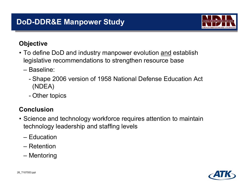

#### **Objective**

- To define DoD and industry manpower evolution <u>and</u> establish legislative recommendations to strengthen resource base
	- Baseline:
		- - Shape 2006 version of 1958 National Defense Education Act (NDEA)
		- -Other topics

### **Conclusion**

- Science and technology workforce requires attention to maintain technology leadership and staffing levels
	- Education
	- Retention
	- –Mentoring

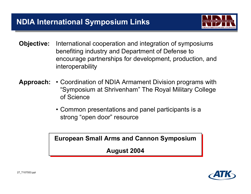

- **Objective:** International cooperation and integration of symposiums benefiting industry and Department of Defense to encourage partnerships for development, production, and interoperability
- **Approach:** Coordination of NDIA Armament Division programs with "Symposium at Shrivenham" The Royal Military College of Science
	- Common presentations and panel participants is a strong "open door" resource

**European Small Arms and Cannon Symposium European Small Arms and Cannon Symposium**

**August 2004 August 2004**

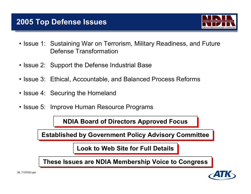

- Issue 1: Sustaining War on Terrorism, Military Readiness, and Future Defense Transformation
- Issue 2: Support the Defense Industrial Base
- Issue 3: Ethical, Accountable, and Balanced Process Reforms
- Issue 4: Securing the Homeland
- Issue 5: Improve Human Resource Programs

**NDIA Board of Directors Approved Focus NDIA Board of Directors Approved Focus**

**Established by Government Policy Advisory Committee Established by Government Policy Advisory Committee**

**Look to Web Site for Full Details Look to Web Site for Full Details**

These Issues are NDIA Membership Voice to Congress

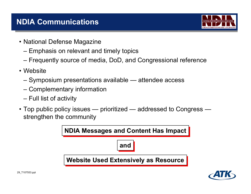

- National Defense Magazine
	- –Emphasis on relevant and timely topics
	- –Frequently source of media, DoD, and Congressional reference
- Website
	- –Symposium presentations available — attendee access
	- –Complementary information
	- –Full list of activity
- Top public policy issues prioritized addressed to Congress strengthen the community



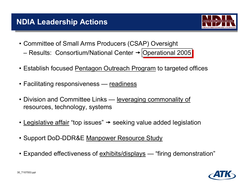- Committee of Small Arms Producers (CSAP) Oversight – Results: Consortium/National Center  $\rightarrow$ |Operational 2005
- Establish focused <u>Pentagon Outreach Program</u> to targeted offices
- Facilitating responsiveness <u>readiness</u>
- Division and Committee Links <u>leveraging commonality of</u> resources, technology, systems
- $\bullet$  <u>Legislative affair</u> "top issues"  $\rightarrow$  seeking value added legislation
- Support DoD-DDR&E Manpower Resource Study
- Expanded effectiveness of <u>exhibits/displays</u> "firing demonstration"

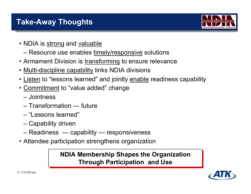

- NDIA is <u>strong</u> and <u>valuable</u>
	- –Resource use enables timely/responsive solutions
- Armament Division is <u>transforming</u> to ensure relevance
- Multi-discipline capability links NDIA divisions
- <u>Listen</u> to "lessons learned" and jointly <u>enable</u> readiness capability
- <u>Commitment</u> to "value added" change
	- Jointness
	- Transformation future
	- "Lessons learned"
	- –Capability driven
	- –Readiness — capability — responsiveness
- Attendee participation strengthens organization

## **NDIA Membership Shapes the Organization NDIA Membership Shapes the Organization Through Participation and Use Through Participation and Use**